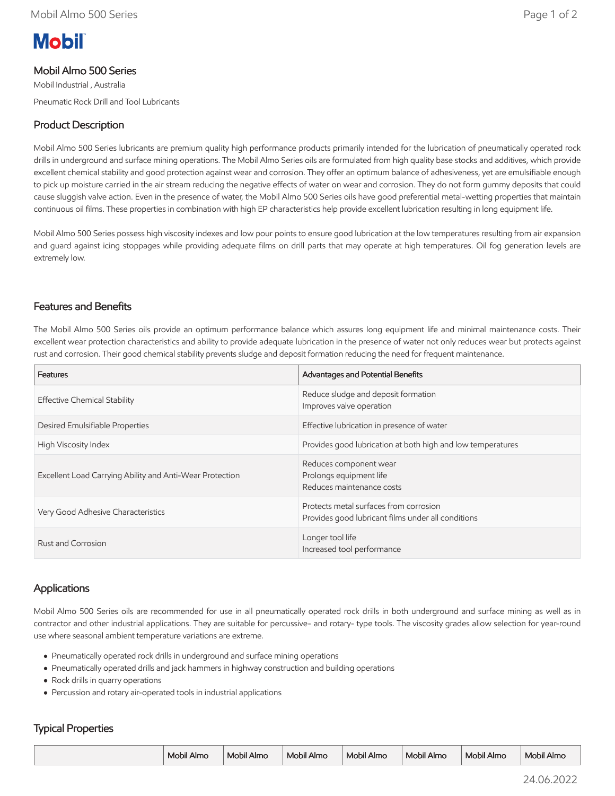# **Mobil**

## Mobil Almo 500 Series

Mobil Industrial , Australia Pneumatic Rock Drill and Tool Lubricants

## Product Description

Mobil Almo 500 Series lubricants are premium quality high performance products primarily intended for the lubrication of pneumatically operated rock drills in underground and surface mining operations. The Mobil Almo Series oils are formulated from high quality base stocks and additives, which provide excellent chemical stability and good protection against wear and corrosion. They offer an optimum balance of adhesiveness, yet are emulsifiable enough to pick up moisture carried in the air stream reducing the negative effects of water on wear and corrosion. They do not form gummy deposits that could cause sluggish valve action. Even in the presence of water, the Mobil Almo 500 Series oils have good preferential metal-wetting properties that maintain continuous oil films. These properties in combination with high EP characteristics help provide excellent lubrication resulting in long equipment life.

Mobil Almo 500 Series possess high viscosity indexes and low pour points to ensure good lubrication at the low temperatures resulting from air expansion and guard against icing stoppages while providing adequate films on drill parts that may operate at high temperatures. Oil fog generation levels are extremely low.

#### Features and Benefits

The Mobil Almo 500 Series oils provide an optimum performance balance which assures long equipment life and minimal maintenance costs. Their excellent wear protection characteristics and ability to provide adequate lubrication in the presence of water not only reduces wear but protects against rust and corrosion. Their good chemical stability prevents sludge and deposit formation reducing the need for frequent maintenance.

| Features                                                 | Advantages and Potential Benefits                                                            |
|----------------------------------------------------------|----------------------------------------------------------------------------------------------|
| <b>Effective Chemical Stability</b>                      | Reduce sludge and deposit formation<br>Improves valve operation                              |
| Desired Emulsifiable Properties                          | Effective lubrication in presence of water                                                   |
| High Viscosity Index                                     | Provides good lubrication at both high and low temperatures                                  |
| Excellent Load Carrying Ability and Anti-Wear Protection | Reduces component wear<br>Prolongs equipment life<br>Reduces maintenance costs               |
| Very Good Adhesive Characteristics                       | Protects metal surfaces from corrosion<br>Provides good lubricant films under all conditions |
| Rust and Corrosion                                       | Longer tool life<br>Increased tool performance                                               |

## Applications

Mobil Almo 500 Series oils are recommended for use in all pneumatically operated rock drills in both underground and surface mining as well as in contractor and other industrial applications. They are suitable for percussive- and rotary- type tools. The viscosity grades allow selection for year-round use where seasonal ambient temperature variations are extreme.

- Pneumatically operated rock drills in underground and surface mining operations
- Pneumatically operated drills and jack hammers in highway construction and building operations
- Rock drills in quarry operations
- Percussion and rotary air-operated tools in industrial applications

#### Typical Properties

|  | Mobil Almo | Mobil Almo | Mobil Almo | Mobil Almo | Mobil Almo | Mobil Almo | Mobil Almo |
|--|------------|------------|------------|------------|------------|------------|------------|
|--|------------|------------|------------|------------|------------|------------|------------|